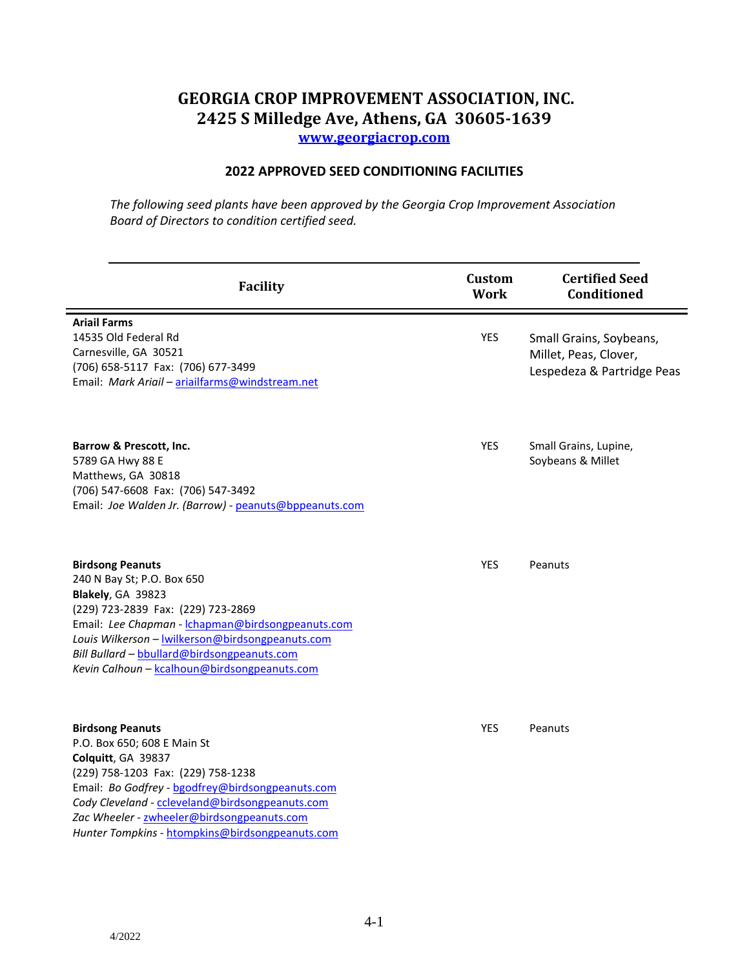## **GEORGIA CROP IMPROVEMENT ASSOCIATION, INC. 2425 S Milledge Ave, Athens, GA 30605-1639**

**[www.georgiacrop.com](http://www.georgiacrop.com/)**

## **2022 APPROVED SEED CONDITIONING FACILITIES**

*The following seed plants have been approved by the Georgia Crop Improvement Association Board of Directors to condition certified seed.*

| Facility                                                                                                                                                                                                                                                                                                                   | Custom<br><b>Work</b> | <b>Certified Seed</b><br><b>Conditioned</b>                                    |
|----------------------------------------------------------------------------------------------------------------------------------------------------------------------------------------------------------------------------------------------------------------------------------------------------------------------------|-----------------------|--------------------------------------------------------------------------------|
| <b>Ariail Farms</b><br>14535 Old Federal Rd<br>Carnesville, GA 30521<br>(706) 658-5117 Fax: (706) 677-3499<br>Email: Mark Ariail - ariailfarms@windstream.net                                                                                                                                                              | <b>YES</b>            | Small Grains, Soybeans,<br>Millet, Peas, Clover,<br>Lespedeza & Partridge Peas |
| Barrow & Prescott, Inc.<br>5789 GA Hwy 88 E<br>Matthews, GA 30818<br>(706) 547-6608 Fax: (706) 547-3492<br>Email: Joe Walden Jr. (Barrow) - peanuts@bppeanuts.com                                                                                                                                                          | YES                   | Small Grains, Lupine,<br>Soybeans & Millet                                     |
| <b>Birdsong Peanuts</b><br>240 N Bay St; P.O. Box 650<br>Blakely, GA 39823<br>(229) 723-2839 Fax: (229) 723-2869<br>Email: Lee Chapman - Ichapman@birdsongpeanuts.com<br>Louis Wilkerson - wilkerson@birdsongpeanuts.com<br>Bill Bullard - bbullard@birdsongpeanuts.com<br>Kevin Calhoun - kcalhoun@birdsongpeanuts.com    | <b>YES</b>            | Peanuts                                                                        |
| <b>Birdsong Peanuts</b><br>P.O. Box 650; 608 E Main St<br>Colquitt, GA 39837<br>(229) 758-1203 Fax: (229) 758-1238<br>Email: Bo Godfrey - bgodfrey@birdsongpeanuts.com<br>Cody Cleveland - ccleveland@birdsongpeanuts.com<br>Zac Wheeler - zwheeler@birdsongpeanuts.com<br>Hunter Tompkins - htompkins@birdsongpeanuts.com | YES                   | Peanuts                                                                        |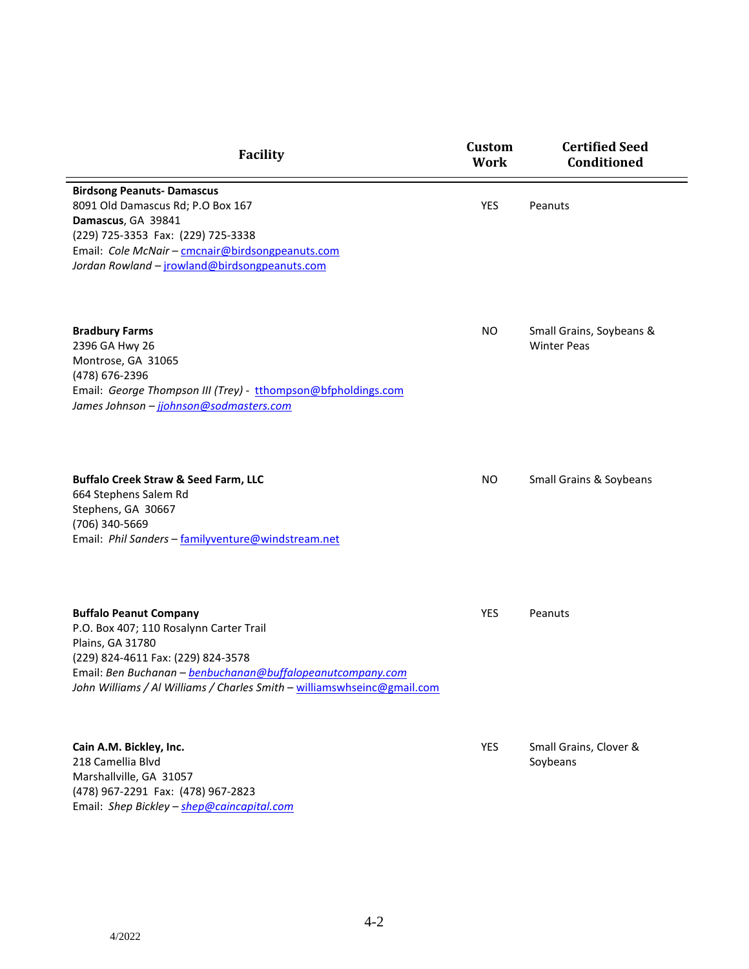| Facility                                                                                                                                                                                                                                                                    | <b>Custom</b><br><b>Work</b> | <b>Certified Seed</b><br><b>Conditioned</b>    |
|-----------------------------------------------------------------------------------------------------------------------------------------------------------------------------------------------------------------------------------------------------------------------------|------------------------------|------------------------------------------------|
| <b>Birdsong Peanuts- Damascus</b><br>8091 Old Damascus Rd; P.O Box 167<br>Damascus, GA 39841<br>(229) 725-3353 Fax: (229) 725-3338<br>Email: Cole McNair - cmcnair@birdsongpeanuts.com<br>Jordan Rowland - jrowland@birdsongpeanuts.com                                     | YES                          | Peanuts                                        |
| <b>Bradbury Farms</b><br>2396 GA Hwy 26<br>Montrose, GA 31065<br>(478) 676-2396<br>Email: George Thompson III (Trey) - tthompson@bfpholdings.com<br>James Johnson - jjohnson@sodmasters.com                                                                                 | <b>NO</b>                    | Small Grains, Soybeans &<br><b>Winter Peas</b> |
| <b>Buffalo Creek Straw &amp; Seed Farm, LLC</b><br>664 Stephens Salem Rd<br>Stephens, GA 30667<br>(706) 340-5669<br>Email: Phil Sanders - familyventure@windstream.net                                                                                                      | <b>NO</b>                    | Small Grains & Soybeans                        |
| <b>Buffalo Peanut Company</b><br>P.O. Box 407; 110 Rosalynn Carter Trail<br>Plains, GA 31780<br>(229) 824-4611 Fax: (229) 824-3578<br>Email: Ben Buchanan - benbuchanan@buffalopeanutcompany.com<br>John Williams / Al Williams / Charles Smith - williamswhseinc@gmail.com | YES                          | Peanuts                                        |
| Cain A.M. Bickley, Inc.<br>218 Camellia Blvd<br>Marshallville, GA 31057<br>(478) 967-2291 Fax: (478) 967-2823<br>Email: Shep Bickley - shep@caincapital.com                                                                                                                 | <b>YES</b>                   | Small Grains, Clover &<br>Soybeans             |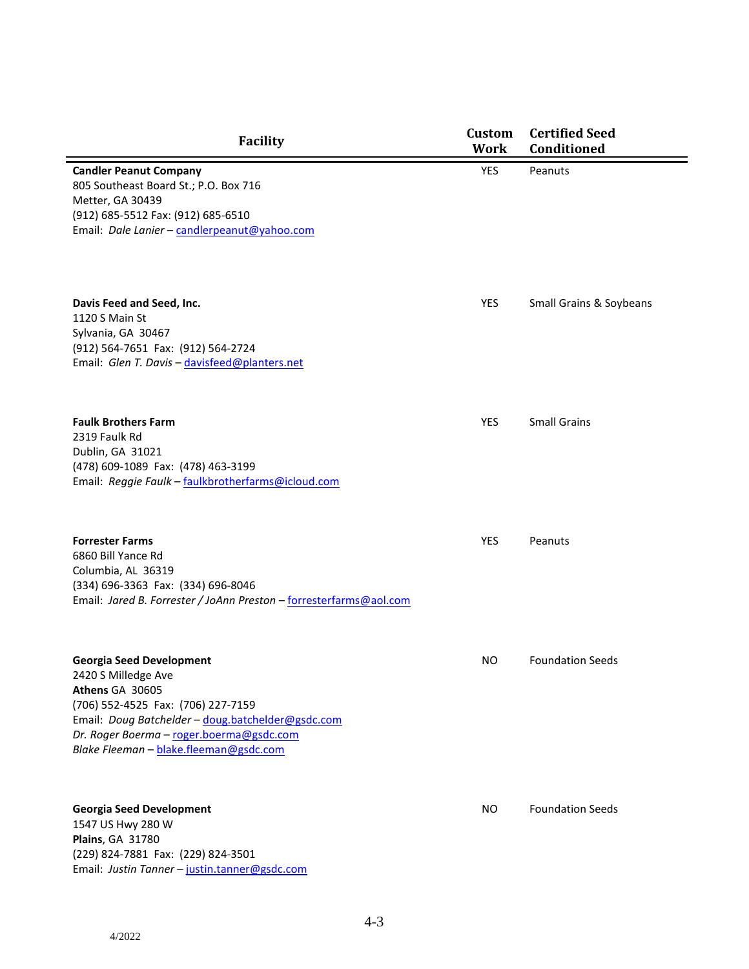| <b>Facility</b>                                                                                                                                                                                                                                            | Custom<br><b>Work</b> | <b>Certified Seed</b><br><b>Conditioned</b> |
|------------------------------------------------------------------------------------------------------------------------------------------------------------------------------------------------------------------------------------------------------------|-----------------------|---------------------------------------------|
| <b>Candler Peanut Company</b><br>805 Southeast Board St.; P.O. Box 716<br>Metter, GA 30439<br>(912) 685-5512 Fax: (912) 685-6510<br>Email: Dale Lanier - candlerpeanut@yahoo.com                                                                           | YES                   | Peanuts                                     |
| Davis Feed and Seed, Inc.<br>1120 S Main St<br>Sylvania, GA 30467<br>(912) 564-7651 Fax: (912) 564-2724<br>Email: Glen T. Davis - davisfeed@planters.net                                                                                                   | YES                   | Small Grains & Soybeans                     |
| <b>Faulk Brothers Farm</b><br>2319 Faulk Rd<br>Dublin, GA 31021<br>(478) 609-1089 Fax: (478) 463-3199<br>Email: Reggie Faulk - faulkbrotherfarms@icloud.com                                                                                                | <b>YES</b>            | <b>Small Grains</b>                         |
| <b>Forrester Farms</b><br>6860 Bill Yance Rd<br>Columbia, AL 36319<br>(334) 696-3363 Fax: (334) 696-8046<br>Email: Jared B. Forrester / JoAnn Preston - forresterfarms@aol.com                                                                             | YES                   | Peanuts                                     |
| <b>Georgia Seed Development</b><br>2420 S Milledge Ave<br>Athens GA 30605<br>(706) 552-4525 Fax: (706) 227-7159<br>Email: Doug Batchelder - doug.batchelder@gsdc.com<br>Dr. Roger Boerma - roger.boerma@gsdc.com<br>Blake Fleeman - blake.fleeman@gsdc.com | <b>NO</b>             | <b>Foundation Seeds</b>                     |
| <b>Georgia Seed Development</b><br>1547 US Hwy 280 W                                                                                                                                                                                                       | <b>NO</b>             | <b>Foundation Seeds</b>                     |

1547 US Hwy 280 W **Plains**, GA 31780 (229) 824-7881 Fax: (229) 824-3501 Email: *Justin Tanner* – [justin.tanner@gsdc.com](mailto:justin.tanner@gsdc.com)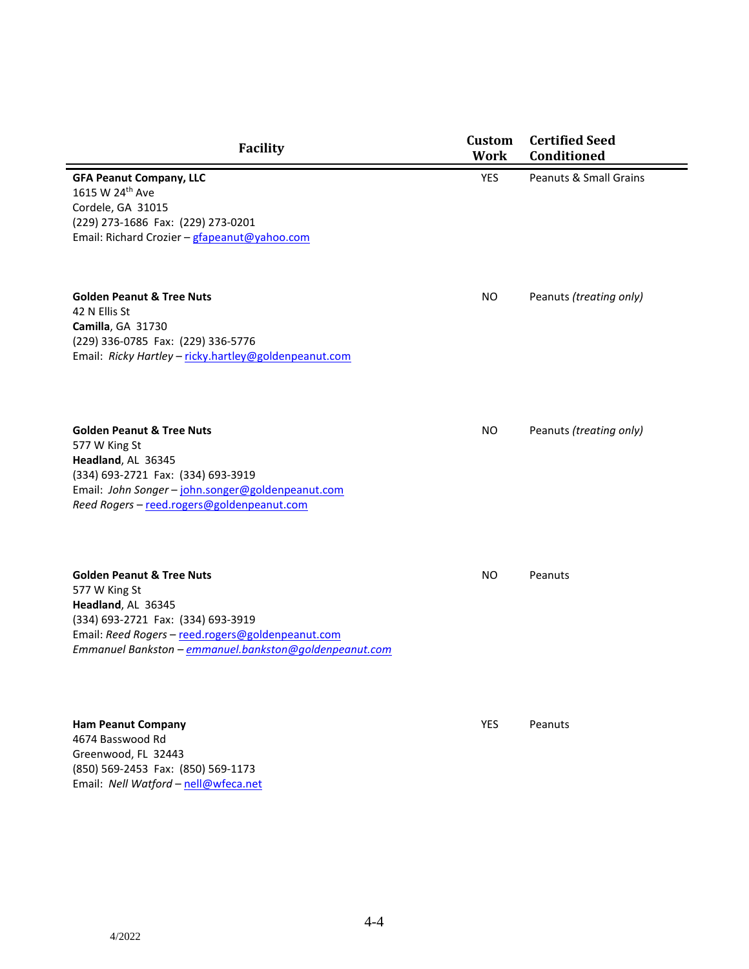| <b>Facility</b>                                                                                                                                                                                                                  | <b>Custom</b><br><b>Work</b> | <b>Certified Seed</b><br>Conditioned |
|----------------------------------------------------------------------------------------------------------------------------------------------------------------------------------------------------------------------------------|------------------------------|--------------------------------------|
| <b>GFA Peanut Company, LLC</b><br>1615 W 24th Ave<br>Cordele, GA 31015<br>(229) 273-1686 Fax: (229) 273-0201<br>Email: Richard Crozier - gfapeanut@yahoo.com                                                                     | <b>YES</b>                   | <b>Peanuts &amp; Small Grains</b>    |
| <b>Golden Peanut &amp; Tree Nuts</b><br>42 N Ellis St<br>Camilla, GA 31730<br>(229) 336-0785 Fax: (229) 336-5776<br>Email: Ricky Hartley - ricky.hartley@goldenpeanut.com                                                        | <b>NO</b>                    | Peanuts (treating only)              |
| <b>Golden Peanut &amp; Tree Nuts</b><br>577 W King St<br>Headland, AL 36345<br>(334) 693-2721 Fax: (334) 693-3919<br>Email: John Songer - john.songer@goldenpeanut.com<br>Reed Rogers - reed.rogers@goldenpeanut.com             | <b>NO</b>                    | Peanuts (treating only)              |
| <b>Golden Peanut &amp; Tree Nuts</b><br>577 W King St<br>Headland, AL 36345<br>(334) 693-2721 Fax: (334) 693-3919<br>Email: Reed Rogers - reed.rogers@goldenpeanut.com<br>Emmanuel Bankston - emmanuel.bankston@goldenpeanut.com | NO                           | Peanuts                              |
| <b>Ham Peanut Company</b><br>4674 Basswood Rd<br>Greenwood, FL 32443<br>(850) 569-2453 Fax: (850) 569-1173                                                                                                                       | YES                          | Peanuts                              |

Email: *Nell Watford* – [nell@wfeca.net](mailto:nell@wfeca.net)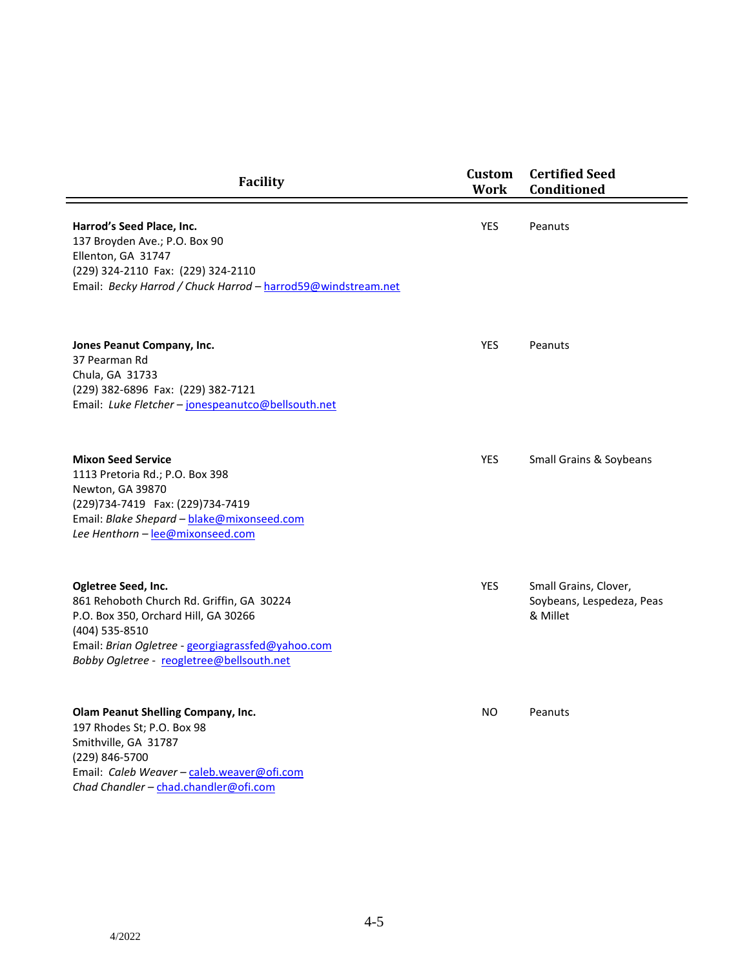| <b>Facility</b>                                                                                                                                                                                                              | Custom<br>Work | <b>Certified Seed</b><br><b>Conditioned</b>                    |
|------------------------------------------------------------------------------------------------------------------------------------------------------------------------------------------------------------------------------|----------------|----------------------------------------------------------------|
| Harrod's Seed Place, Inc.<br>137 Broyden Ave.; P.O. Box 90<br>Ellenton, GA 31747<br>(229) 324-2110 Fax: (229) 324-2110<br>Email: Becky Harrod / Chuck Harrod - harrod59@windstream.net                                       | <b>YES</b>     | Peanuts                                                        |
| Jones Peanut Company, Inc.<br>37 Pearman Rd<br>Chula, GA 31733<br>(229) 382-6896 Fax: (229) 382-7121<br>Email: Luke Fletcher - jonespeanutco@bellsouth.net                                                                   | <b>YES</b>     | Peanuts                                                        |
| <b>Mixon Seed Service</b><br>1113 Pretoria Rd.; P.O. Box 398<br>Newton, GA 39870<br>(229)734-7419    Fax: (229)734-7419<br>Email: Blake Shepard - blake@mixonseed.com<br>Lee Henthorn - lee@mixonseed.com                    | <b>YES</b>     | <b>Small Grains &amp; Soybeans</b>                             |
| Ogletree Seed, Inc.<br>861 Rehoboth Church Rd. Griffin, GA 30224<br>P.O. Box 350, Orchard Hill, GA 30266<br>(404) 535-8510<br>Email: Brian Ogletree - georgiagrassfed@yahoo.com<br>Bobby Ogletree - reogletree@bellsouth.net | <b>YES</b>     | Small Grains, Clover,<br>Soybeans, Lespedeza, Peas<br>& Millet |
| Olam Peanut Shelling Company, Inc.<br>197 Rhodes St; P.O. Box 98<br>Smithville, GA 31787<br>(229) 846-5700<br>Email: Caleb Weaver - caleb.weaver@ofi.com<br>Chad Chandler - chad.chandler@ofi.com                            | NO.            | Peanuts                                                        |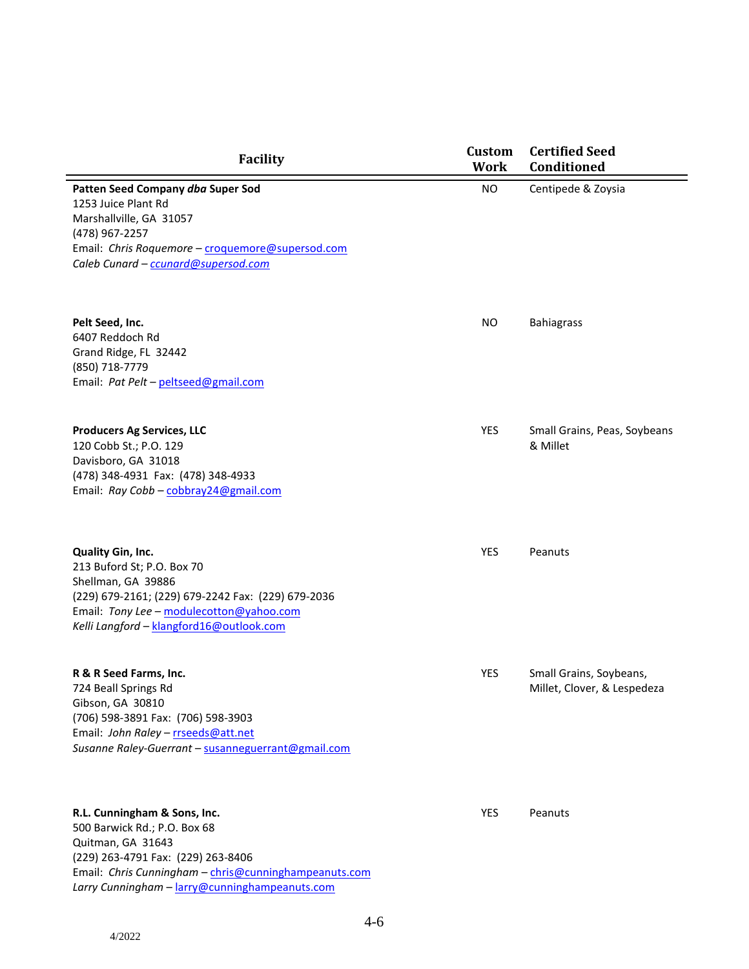| <b>Facility</b>                                                                                                                                                                                                     | <b>Custom</b><br><b>Work</b> | <b>Certified Seed</b><br>Conditioned                   |
|---------------------------------------------------------------------------------------------------------------------------------------------------------------------------------------------------------------------|------------------------------|--------------------------------------------------------|
| Patten Seed Company dba Super Sod<br>1253 Juice Plant Rd<br>Marshallville, GA 31057<br>(478) 967-2257<br>Email: Chris Roquemore - croquemore@supersod.com<br>Caleb Cunard - ccunard@supersod.com                    | <b>NO</b>                    | Centipede & Zoysia                                     |
| Pelt Seed, Inc.<br>6407 Reddoch Rd<br>Grand Ridge, FL 32442<br>(850) 718-7779<br>Email: Pat Pelt - peltseed@gmail.com                                                                                               | <b>NO</b>                    | <b>Bahiagrass</b>                                      |
| <b>Producers Ag Services, LLC</b><br>120 Cobb St.; P.O. 129<br>Davisboro, GA 31018<br>(478) 348-4931 Fax: (478) 348-4933<br>Email: Ray Cobb - cobbray24@gmail.com                                                   | YES                          | Small Grains, Peas, Soybeans<br>& Millet               |
| Quality Gin, Inc.<br>213 Buford St; P.O. Box 70<br>Shellman, GA 39886<br>(229) 679-2161; (229) 679-2242 Fax: (229) 679-2036<br>Email: Tony Lee - modulecotton@yahoo.com<br>Kelli Langford - klangford16@outlook.com | YES                          | Peanuts                                                |
| R & R Seed Farms, Inc.<br>724 Beall Springs Rd<br>Gibson, GA 30810<br>(706) 598-3891 Fax: (706) 598-3903<br>Email: John Raley - rrseeds@att.net<br>Susanne Raley-Guerrant - susanneguerrant@gmail.com               | YES                          | Small Grains, Soybeans,<br>Millet, Clover, & Lespedeza |
| R.L. Cunningham & Sons, Inc.<br>500 Barwick Rd.; P.O. Box 68<br>Quitman, GA 31643<br>(229) 263-4791 Fax: (229) 263-8406<br>Email: Chris Cunningham - chris@cunninghampeanuts.com                                    | YES                          | Peanuts                                                |

*Larry Cunningham* – [larry@cunninghampeanuts.com](mailto:larry@cunninghampeanuts.com)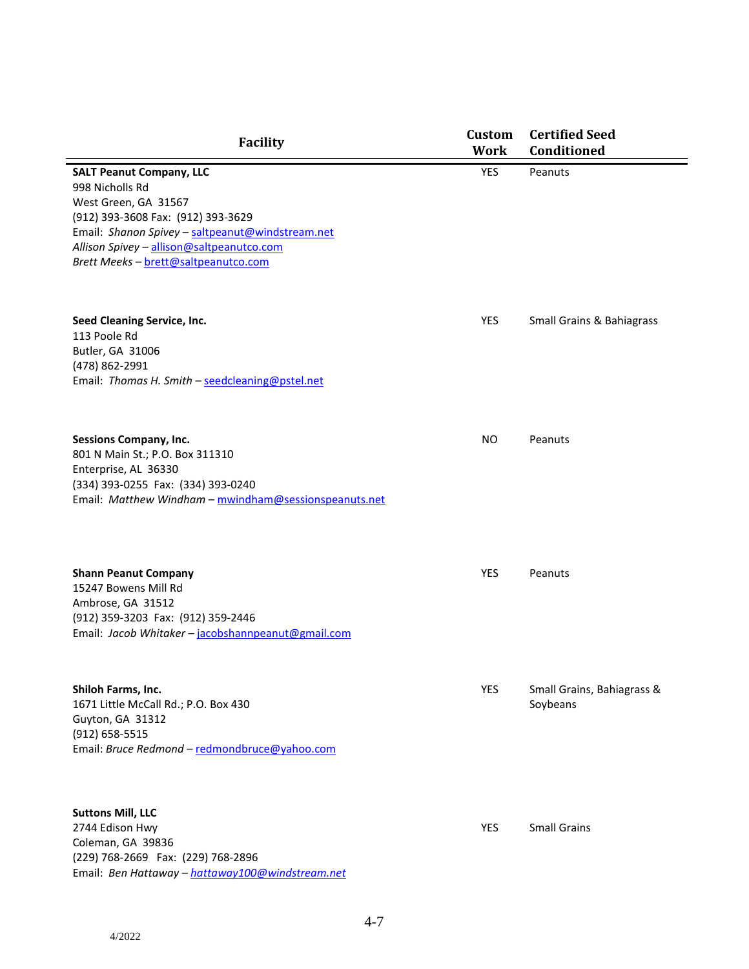| <b>Facility</b>                                                                                                                                                                                                                                           | <b>Custom</b><br><b>Work</b> | <b>Certified Seed</b><br>Conditioned   |
|-----------------------------------------------------------------------------------------------------------------------------------------------------------------------------------------------------------------------------------------------------------|------------------------------|----------------------------------------|
| <b>SALT Peanut Company, LLC</b><br>998 Nicholls Rd<br>West Green, GA 31567<br>(912) 393-3608 Fax: (912) 393-3629<br>Email: Shanon Spivey - saltpeanut@windstream.net<br>Allison Spivey - allison@saltpeanutco.com<br>Brett Meeks - brett@saltpeanutco.com | YES                          | Peanuts                                |
| Seed Cleaning Service, Inc.<br>113 Poole Rd<br>Butler, GA 31006<br>(478) 862-2991<br>Email: Thomas H. Smith - seedcleaning@pstel.net                                                                                                                      | YES                          | <b>Small Grains &amp; Bahiagrass</b>   |
| <b>Sessions Company, Inc.</b><br>801 N Main St.; P.O. Box 311310<br>Enterprise, AL 36330<br>(334) 393-0255 Fax: (334) 393-0240<br>Email: Matthew Windham - mwindham@sessionspeanuts.net                                                                   | <b>NO</b>                    | Peanuts                                |
| <b>Shann Peanut Company</b><br>15247 Bowens Mill Rd<br>Ambrose, GA 31512<br>(912) 359-3203 Fax: (912) 359-2446<br>Email: Jacob Whitaker - jacobshannpeanut@gmail.com                                                                                      | YES                          | Peanuts                                |
| Shiloh Farms, Inc.<br>1671 Little McCall Rd.; P.O. Box 430<br>Guyton, GA 31312<br>(912) 658-5515<br>Email: Bruce Redmond - redmondbruce@yahoo.com                                                                                                         | YES                          | Small Grains, Bahiagrass &<br>Soybeans |
| <b>Suttons Mill, LLC</b><br>2744 Edison Hwy<br>Coleman, GA 39836<br>(229) 768-2669 Fax: (229) 768-2896<br>Email: Ben Hattaway - hattaway100@windstream.net                                                                                                | YES                          | <b>Small Grains</b>                    |